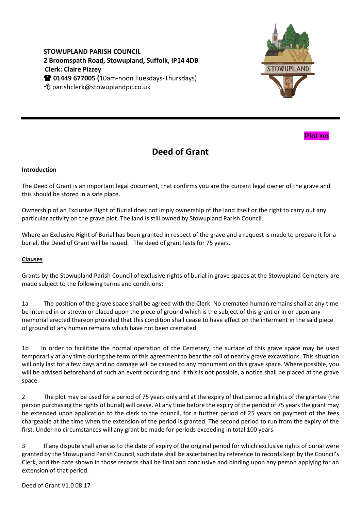**STOWUPLAND PARISH COUNCIL 2 Broomspath Road, Stowupland, Suffolk, IP14 4DB Clerk: Claire Pizzey 01449 677005 (**10am-noon Tuesdays-Thursdays) parishclerk@stowuplandpc.co.uk





## **Deed of Grant**

## **Introduction**

The Deed of Grant is an important legal document, that confirms you are the current legal owner of the grave and this should be stored in a safe place.

Ownership of an Exclusive Right of Burial does not imply ownership of the land itself or the right to carry out any particular activity on the grave plot. The land is still owned by Stowupland Parish Council.

Where an Exclusive Right of Burial has been granted in respect of the grave and a request is made to prepare it for a burial, the Deed of Grant will be issued. The deed of grant lasts for 75 years.

## **Clauses**

Grants by the Stowupland Parish Council of exclusive rights of burial in grave spaces at the Stowupland Cemetery are made subject to the following terms and conditions:

1a The position of the grave space shall be agreed with the Clerk. No cremated human remains shall at any time be interred in or strewn or placed upon the piece of ground which is the subject of this grant or in or upon any memorial erected thereon provided that this condition shall cease to have effect on the interment in the said piece of ground of any human remains which have not been cremated.

1b In order to facilitate the normal operation of the Cemetery, the surface of this grave space may be used temporarily at any time during the term of this agreement to bear the soil of nearby grave excavations. This situation will only last for a few days and no damage will be caused to any monument on this grave space. Where possible, you will be advised beforehand of such an event occurring and if this is not possible, a notice shall be placed at the grave space.

2 The plot may be used for a period of 75 years only and at the expiry of that period all rights of the grantee (the person purchasing the rights of burial) will cease. At any time before the expiry of the period of 75 years the grant may be extended upon application to the clerk to the council, for a further period of 25 years on payment of the fees chargeable at the time when the extension of the period is granted. The second period to run from the expiry of the first. Under no circumstances will any grant be made for periods exceeding in total 100 years.

3 If any dispute shall arise as to the date of expiry of the original period for which exclusive rights of burial were granted by the Stowupland Parish Council, such date shall be ascertained by reference to records kept by the Council's Clerk, and the date shown in those records shall be final and conclusive and binding upon any person applying for an extension of that period.